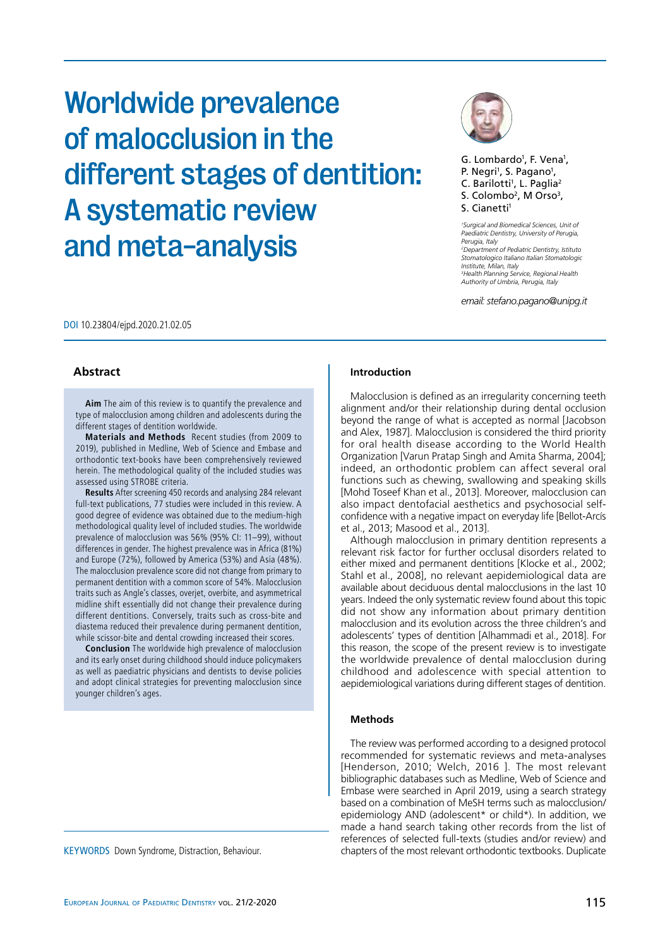#### differences in gender. The highest prevalence was in Africa (81%) and Europe (72%), followed by America (53%) and Asia (48%).  $\qquad$ The malocclusion prevalence score did not change from primary to permanent dentition with a common score of 54%. Malocclusion **the similar** traits such as Angle's classes, overjet, overbite, and asymmetrical **the state** midline shift essentially did not change their prevalence during different dentitions. Conversely, traits such as cross-bite and  $\qquad$ diastema reduced their prevalence during permanent dentition, and

**Aim** The aim of this review is to quantify the prevalence and type of malocclusion among children and adolescents during the different stages of dentition worldwide. **Materials and methods** A systematic review of the systematic review of the systematic review of the systematic review of the systematic review of the systematic review of the syste **Materials and Methods** Recent studies (from 2009 to 2019), published in Medline, Web of Science and Embase and orthodontic text-books have been comprehensively reviewed and herein. The methodological quality of the included studies was assessed using STROBE criteria. The included studies as well as well as well as  $\sim$ **Results** After screening 450 records and analysing 284 relevant full-text publications, 77 studies were included in this review. A **the supplication** good degree of evidence was obtained due to the medium-high<br> methodological quality level of included studies. The worldwide prevalence of malocclusion was 56% (95% CI: 11–99), without

mediated by microorganisms. Lasers with sub-ablative  $\mathcal{L}_\mathcal{A}$ he aim of this review is to quantify the prevalence and

DOI 10.23804/ejpd.2020.21.02.05

**Abstract**

while scissor-bite and dental crowding increased their scores. The sum of the scores of the scores of the score **Conclusion** The worldwide high prevalence of malocclusion and its early onset during childhood should induce policymakers as well as paediatric physicians and dentists to devise policies the s and adopt clinical strategies for preventing malocclusion since younger children's ages. The calcium/phosphate ratio was found to reach to reach  $\mathbb{R}^n$ 

KEYWORDS Down Syndrome, Distraction, Behaviour.

# Worldwide prevalence of malocclusion in the different stages of dentition: A systematic review and meta-analysis  $\frac{1}{2}$ irradiation in the prediction of  $\frac{1}{2}$  $\overline{\mathbf{a}}$  denotes the demonstration of  $\overline{\mathbf{a}}$  and  $\overline{\mathbf{a}}$  and  $\overline{\mathbf{a}}$ rerent stages of dentition: in vitro structures.



G. Lombardo<sup>1</sup>, F. Vena<sup>1</sup>, P. Negri<sup>1</sup>, S. Pagano<sup>1</sup>, C. Barilotti<sup>1</sup>, L. Paglia<sup>2</sup>  $S.$  Colombo<sup>2</sup>, M Orso<sup>3</sup>, S. Cianetti<sup>1</sup> *Department of Surgical and Biomedical Sciences, Unit of* 

<sup>1</sup> Surgical and Biomedical Sciences, Unit of *Paediatric Dentistry, University of Perugia, \*Department of Pediatric Dentistry, Italian Stomatologic Institute, Milan, Italy Perugia, Italy x* eragia, naiy<br><sup>2</sup>Department of Pediatric Dentistry, Istituto *Stomatologico Italiano Italian Stomatologic Institute, Milan, Italy 3 Health Planning Service, Regional Health Authority of Umbria, Perugia, Italy Division of Implantology and Prosthetic Dentistry, Dental Clinic, University of L´Aquila, L´Aquila, Italy \*\*\*Health Planning Service, Department of Epidemiology, Regional Health Authority of Umbria, Italy*

email: stefano.pagano@unipg.it

#### $\mathsf{action} = \mathsf{action} \left( \mathsf{action} \right)$ **Introduction**

from early childhood to adulthood and the elderly. Although Malocclusion is defined as an irregularity concerning teeth alignment and/or their relationship during dental occlusion beyond the range of what is accepted as normal [Jacobson and Alex, 1987]. Malocclusion is considered the third priority for oral health disease according to the World Health Organization [Varun Pratap Singh and Amita Sharma, 2004]; indeed, an orthodontic problem can affect several oral functions such as chewing, swallowing and speaking skills [Mohd Toseef Khan et al., 2013]. Moreover, malocclusion can also impact dentofacial aesthetics and psychosocial selfconfidence with a negative impact on everyday life [Bellot-Arcís et al., 2013; Masood et al., 2013].

Although malocclusion in primary dentition represents a relevant risk factor for further occlusal disorders related to either mixed and permanent dentitions [Klocke et al., 2002; Stahl et al., 2008], no relevant aepidemiological data are available about deciduous dental malocclusions in the last 10 years. Indeed the only systematic review found about this topic did not show any information about primary dentition malocclusion and its evolution across the three children's and adolescents' types of dentition [Alhammadi et al., 2018]. For this reason, the scope of the present review is to investigate the worldwide prevalence of dental malocclusion during childhood and adolescence with special attention to aepidemiological variations during different stages of dentition.

#### the application of professional fluoride gel which showed a gel which showed a gel which showed a gel which showed a gel which showed a gel which showed a gel which showed a gel which showed a gel which showed a gel which  $s_{\rm 100}$  in carries by 28%  $\pm$  28% (95%  $\pm$  28%);  $\pm$  28% (95%  $\pm$  36%;  $\pm$  36%;  $\pm$  36%;  $\pm$  36%;  $\pm$  36%;  $\pm$  36%;  $\pm$  36%;  $\pm$  36%;  $\pm$  36%;  $\pm$  36%;  $\pm$  36%;  $\pm$  36%;  $\pm$  36%;  $\pm$  36%;  $\pm$  36%;  $\$ **Methods**

P < 0.0001); yet, like the varnish, it has a high fluoride content The review was performed according to a designed protocol recommended for systematic reviews and meta-analyses [Henderson, 2010; Welch, 2016 ]. The most relevant bibliographic databases such as Medline, Web of Science and Embase were searched in April 2019, using a search strategy based on a combination of MeSH terms such as malocclusion/ epidemiology AND (adolescent\* or child\*). In addition, we made a hand search taking other records from the list of references of selected full-texts (studies and/or review) and chapters of the most relevant orthodontic textbooks. Duplicate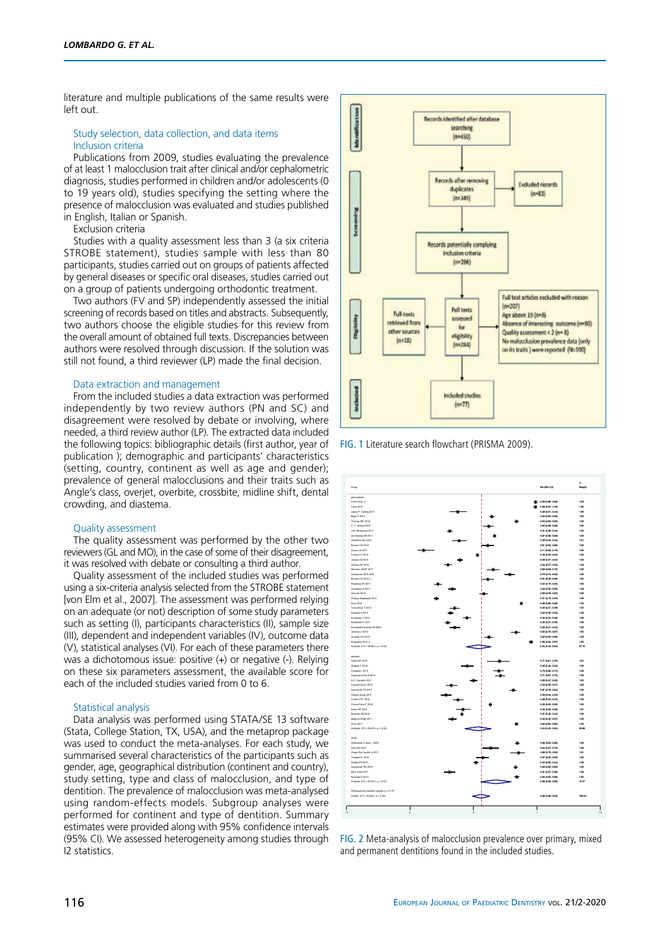literature and multiple publications of the same results were left out.

### Study selection, data collection, and data items Inclusion criteria

Publications from 2009, studies evaluating the prevalence of at least 1 malocclusion trait after clinical and/or cephalometric diagnosis, studies performed in children and/or adolescents (0 to 19 years old), studies specifying the setting where the presence of malocclusion was evaluated and studies published in English, Italian or Spanish.

Exclusion criteria

Studies with a quality assessment less than 3 (a six criteria STROBE statement), studies sample with less than 80 participants, studies carried out on groups of patients affected by general diseases or specific oral diseases, studies carried out on a group of patients undergoing orthodontic treatment.

Two authors (FV and SP) independently assessed the initial screening of records based on titles and abstracts. Subsequently, two authors choose the eligible studies for this review from the overall amount of obtained full texts. Discrepancies between authors were resolved through discussion. If the solution was still not found, a third reviewer (LP) made the final decision.

#### Data extraction and management

From the included studies a data extraction was performed independently by two review authors (PN and SC) and disagreement were resolved by debate or involving, where needed, a third review author (LP). The extracted data included the following topics: bibliographic details (first author, year of publication ); demographic and participants' characteristics (setting, country, continent as well as age and gender); prevalence of general malocclusions and their traits such as Angle's class, overjet, overbite, crossbite, midline shift, dental crowding, and diastema.

## Quality assessment

The quality assessment was performed by the other two reviewers (GL and MO), in the case of some of their disagreement, it was resolved with debate or consulting a third author.

Quality assessment of the included studies was performed using a six-criteria analysis selected from the STROBE statement [von Elm et al., 2007]. The assessment was performed relying on an adequate (or not) description of some study parameters such as setting (I), participants characteristics (II), sample size (III), dependent and independent variables (IV), outcome data (V), statistical analyses (VI). For each of these parameters there was a dichotomous issue: positive (+) or negative (-). Relying on these six parameters assessment, the available score for each of the included studies varied from 0 to 6.

#### Statistical analysis

Data analysis was performed using STATA/SE 13 software (Stata, College Station, TX, USA), and the metaprop package was used to conduct the meta-analyses. For each study, we summarised several characteristics of the participants such as gender, age, geographical distribution (continent and country), study setting, type and class of malocclusion, and type of dentition. The prevalence of malocclusion was meta-analysed using random-effects models. Subgroup analyses were performed for continent and type of dentition. Summary estimates were provided along with 95% confidence intervals (95% CI). We assessed heterogeneity among studies through I2 statistics.



Fig. 1 Literature search flowchart (PRISMA 2009).



Fig. 2 Meta-analysis of malocclusion prevalence over primary, mixed and permanent dentitions found in the included studies.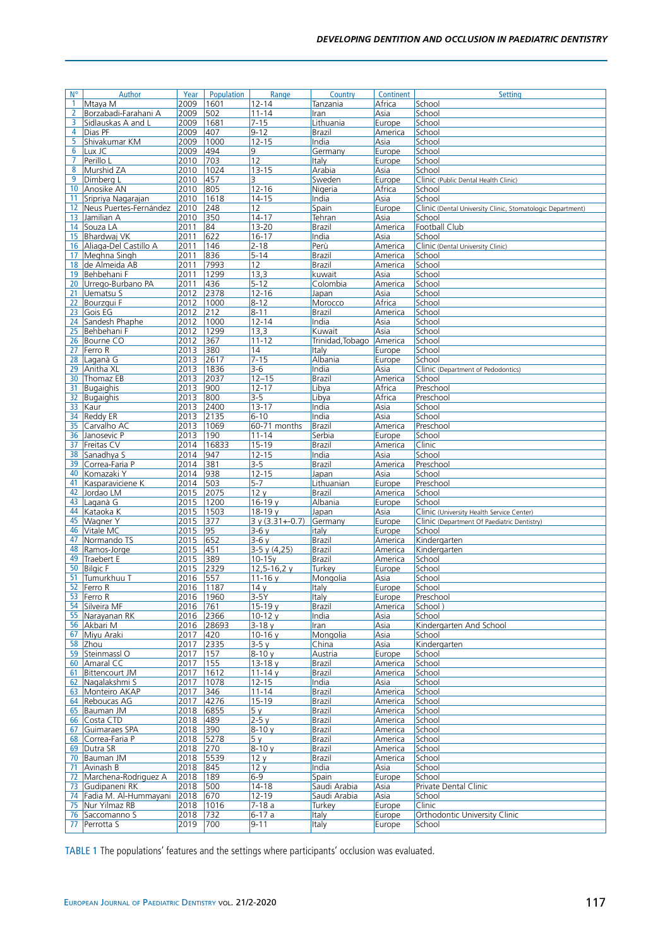| $N^{\circ}$    | Author                   | Year | Population | Range            | Country         | Continent | <b>Setting</b>                                             |
|----------------|--------------------------|------|------------|------------------|-----------------|-----------|------------------------------------------------------------|
| $\mathbf{1}$   | Mtaya M                  | 2009 | 1601       | 12-14            | Tanzania        | Africa    | School                                                     |
| $\overline{2}$ | Borzabadi-Farahani A     | 2009 | 502        | $11 - 14$        | Iran            | Asia      | School                                                     |
| 3              | Sidlauskas A and L       | 2009 | 1681       | $7 - 15$         | Lithuania       | Europe    | School                                                     |
|                |                          | 2009 |            | $9 - 12$         |                 |           |                                                            |
| 4              | Dias PF                  |      | 407        |                  | Brazil          | America   | School                                                     |
| 5              | Shivakumar KM            | 2009 | 1000       | $12 - 15$        | India           | Asia      | School                                                     |
| 6              | Lux JC                   | 2009 | 494        | 9                | Germany         | Europe    | School                                                     |
| 7              | Perillo L                | 2010 | 703        | 12               | Italy           | Europe    | School                                                     |
| 8              | Murshid ZA               | 2010 | 1024       | $13 - 15$        | Arabia          | Asia      | School                                                     |
| 9              | Dimberg L                | 2010 | 457        | 3                | Sweden          | Europe    | Clinic (Public Dental Health Clinic)                       |
| 10             | <b>Anosike AN</b>        | 2010 | 805        | $12 - 16$        | Nigeria         | Africa    | School                                                     |
| 11             | Sripriya Nagarajan       | 2010 | 1618       | $14 - 15$        | India           | Asia      | School                                                     |
| 12             | Neus Puertes-Fernández   | 2010 | 248        | 12               | Spain           | Europe    | Clinic (Dental University Clinic, Stomatologic Department) |
| 13             | Jamilian A               | 2010 | 350        | $14 - 17$        | Tehran          | Asia      | School                                                     |
|                | 14 Souza LA              | 2011 | 84         | $13 - 20$        | Brazil          | America   | Football Club                                              |
|                |                          |      |            |                  |                 |           |                                                            |
|                | 15 Bhardwaj VK           | 2011 | 622        | $16 - 17$        | India           | Asia      | School                                                     |
| 16             | Aliaga-Del Castillo A    | 2011 | 146        | $2 - 18$         | Perù            | America   | Clinic (Dental University Clinic)                          |
| 17             | Meghna Singh             | 2011 | 836        | $5 - 14$         | Brazil          | America   | School                                                     |
| 18             | de Almeida AB            | 2011 | 7993       | 12               | Brazil          | America   | School                                                     |
| 19             | Behbehani F              | 2011 | 1299       | 13,3             | kuwait          | Asia      | School                                                     |
| 20             | Urrego-Burbano PA        | 2011 | 436        | $5 - 12$         | Colombia        | America   | School                                                     |
| 21             | Uematsu S                | 2012 | 2378       | $12 - 16$        | Japan           | Asia      | School                                                     |
| 22             | Bourzqui F               | 2012 | 1000       | $8 - 12$         | Morocco         | Africa    | School                                                     |
| 23             | Gois EG                  | 2012 | 212        | $8 - 11$         | Brazil          | America   | School                                                     |
| 24             | Sandesh Phaphe           | 2012 | 1000       | $12 - 14$        | India           | Asia      | School                                                     |
| 25             | Behbehani F              | 2012 | 1299       | 13,3             | Kuwait          | Asia      | School                                                     |
|                | 26 Bourne CO             | 2012 | 367        | $11 - 12$        | Trinidad,Tobago | America   | School                                                     |
|                |                          | 2013 | 380        |                  |                 |           |                                                            |
|                | 27 Ferro R               |      |            | 14               | Italy           | Europe    | School                                                     |
| 28             | Laganà G                 | 2013 | 2617       | $7 - 15$         | Albania         | Europe    | School                                                     |
| 29             | Anitha XL                | 2013 | 1836       | $3-6$            | India           | Asia      | Clinic (Department of Pedodontics)                         |
| 30             | Thomaz EB                | 2013 | 2037       | $12 - 15$        | Brazil          | America   | School                                                     |
| 31             | <b>Bugaighis</b>         | 2013 | 900        | $12 - 17$        | Libya           | Africa    | Preschool                                                  |
| 32             | Bugaighis                | 2013 | 800        | $3 - 5$          | Libya           | Africa    | Preschool                                                  |
| 33             | Kaur                     | 2013 | 2400       | $13 - 17$        | India           | Asia      | School                                                     |
| 34             | <b>Reddy ER</b>          | 2013 | 2135       | $6 - 10$         | India           | Asia      | School                                                     |
| 35             | Carvalho AC              | 2013 | 1069       | 60-71 months     | <b>Brazil</b>   | America   | Preschool                                                  |
| 36             | Janosevic P              | 2013 | 190        | $11 - 14$        | Serbia          | Europe    | School                                                     |
| 37             | Freitas CV               | 2014 | 16833      | $15 - 19$        | Brazil          | America   | Clinic                                                     |
| 38             | Sanadhya S               | 2014 | 947        | $12 - 15$        | India           | Asia      | School                                                     |
| 39             | Correa-Faria P           | 2014 | 381        | $3 - 5$          | Brazil          | America   | Preschool                                                  |
| 40             | Komazaki Y               | 2014 | 938        | $12 - 15$        | Japan           | Asia      | School                                                     |
| 41             |                          | 2014 | 503        | $5-7$            | Lithuanian      | Europe    | Preschool                                                  |
|                | Kasparaviciene K         |      |            |                  |                 |           |                                                            |
| 42             | Jordao LM                | 2015 | 2075       | 12 <sub>V</sub>  | Brazil          | America   | School                                                     |
| 43             | Laganà G                 | 2015 | 1200       | $16 - 19y$       | Albania         | Europe    | School                                                     |
| 44             | Kataoka K                | 2015 | 1503       | $18-19v$         | Japan           | Asia      | Clinic (University Health Service Center)                  |
| 45             | Wagner Y                 | 2015 | 377        | $3y(3.31+-0.7)$  | Germany         | Europe    | Clinic (Department Of Paediatric Dentistry)                |
| 46             | Vitale MC                | 2015 | 95         | $3-6y$           | italy           | Europe    | School                                                     |
| 47             | Normando TS              | 2015 | 652        | $3-6y$           | Brazil          | America   | Kindergarten                                               |
| 48             | Ramos-Jorge              | 2015 | 451        | $3-5y(4,25)$     | Brazil          | America   | Kindergarten                                               |
| 49             | Traebert E               | 2015 | 389        | $10 - 15y$       | Brazil          | America   | School                                                     |
| 50             | <b>Bilgic F</b>          | 2015 | 2329       | $12, 5 - 16, 2y$ | Turkey          | Europe    | School                                                     |
| 51             | Tumurkhuu T              | 2016 | 557        | $11 - 16y$       | Mongolia        | Asia      | School                                                     |
| 52             | Ferro R                  | 2016 | 1187       | 14y              | Italy           | Europe    | School                                                     |
|                | 53 Ferro R               | 2016 | 1960       | $3-5Y$           | Italy           | Europe    | Preschool                                                  |
|                | 54 Silveira MF           | 2016 | 761        | $15-19y$         | Brazil          | America   | School)                                                    |
|                | 55 Narayanan RK          | 2016 | 2366       | $10-12y$         | India           | Asia      | School                                                     |
|                | 56 Akbari M              | 2016 | 28693      | 3-18 y           | Iran            | Asia      | Kindergarten And School                                    |
| 67             | Mivu Araki               | 2017 | 420        | 10-16 $y$        | Mongolia        | Asia      | School                                                     |
|                |                          |      | 2335       |                  |                 |           | Kindergarten                                               |
|                | 58 Zhou                  | 2017 |            | 3-5 y            | China           | Asia      |                                                            |
|                | 59 Steinmassl O          | 2017 | 157        | $8 - 10y$        | Austria         | Europe    | School                                                     |
|                | 60 Amaral CC             | 2017 | 155        | $13 - 18y$       | <b>Brazil</b>   | America   | School                                                     |
| 61             | Bittencourt JM           | 2017 | 1612       | $11 - 14y$       | Brazil          | America   | School                                                     |
| 62             | Nagalakshmi S            | 2017 | 1078       | $12 - 15$        | India           | Asia      | School                                                     |
|                | 63 Monteiro AKAP         | 2017 | 346        | $11 - 14$        | Brazil          | America   | School                                                     |
|                | 64 Reboucas AG           | 2017 | 4276       | $15 - 19$        | Brazil          | America   | School                                                     |
|                | 65 Bauman JM             | 2018 | 6855       | 5 y              | Brazil          | America   | School                                                     |
|                | 66 Costa CTD             | 2018 | 489        | $2-5y$           | Brazil          | America   | School                                                     |
| 67             | Guimaraes SPA            | 2018 | 390        | $8 - 10v$        | Brazil          | America   | School                                                     |
| 68             | Correa-Faria P           | 2018 | 5278       | 5 y              | Brazil          | America   | School                                                     |
|                | 69 Dutra SR              | 2018 | 270        | $8 - 10y$        | Brazil          | America   | School                                                     |
|                | 70 Bauman JM             | 2018 | 5539       | 12y              | Brazil          | America   | School                                                     |
| 71             | Avinash B                | 2018 | 845        | 12y              | India           | Asia      | School                                                     |
| 72             | Marchena-Rodriguez A     | 2018 | 189        | $6-9$            | Spain           | Europe    | School                                                     |
|                |                          | 2018 |            | 14-18            | Saudi Arabia    |           | Private Dental Clinic                                      |
| 73             | Gudipaneni RK            |      | 500        |                  |                 | Asia      |                                                            |
|                | 74 Fadia M. Al-Hummayani | 2018 | 670        | $12 - 19$        | Saudi Arabia    | Asia      | School                                                     |
|                | 75 Nur Yilmaz RB         | 2018 | 1016       | 7-18 a           | Turkey          | Europe    | Clinic                                                     |
|                | 76 Saccomanno S          | 2018 | 732        | 6-17 a           | Italy           | Europe    | Orthodontic University Clinic                              |
|                | 77 Perrotta S            | 2019 | 700        | $9 - 11$         | Italy           | Europe    | School                                                     |
|                |                          |      |            |                  |                 |           |                                                            |

Table 1 The populations' features and the settings where participants' occlusion was evaluated.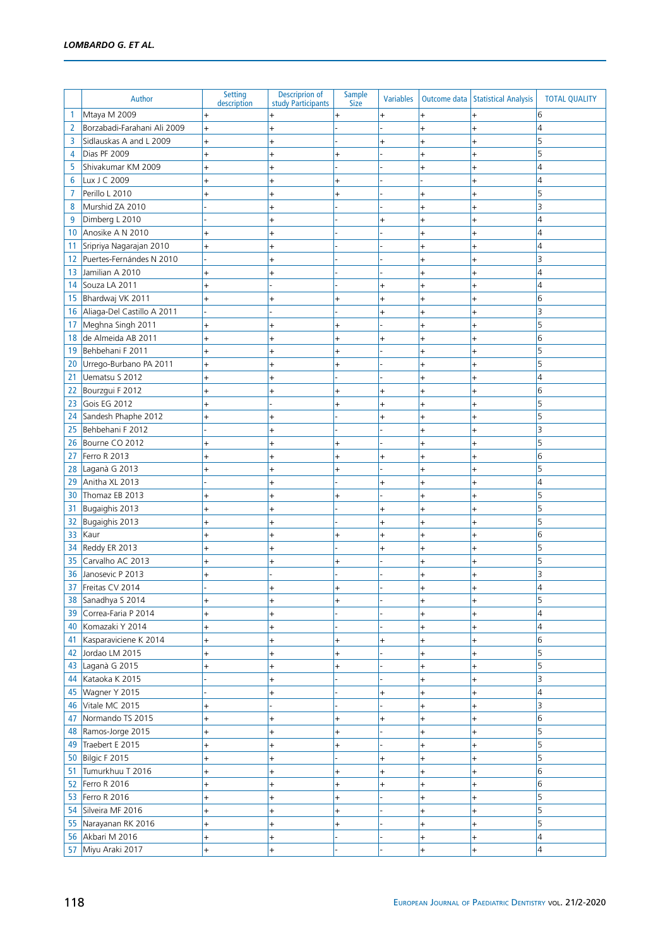|    | Author                                | Setting                  | <b>Descriprion of</b>           | Sample         | <b>Variables</b> |                        | Outcome data   Statistical Analysis | <b>TOTAL QUALITY</b>    |
|----|---------------------------------------|--------------------------|---------------------------------|----------------|------------------|------------------------|-------------------------------------|-------------------------|
| 1  | Mtaya M 2009                          | description<br>$\ddot{}$ | study Participants<br>$\ddot{}$ | <b>Size</b>    | $\ddot{}$        | $\ddot{}$              | $\ddot{}$                           | 6                       |
| 2  | Borzabadi-Farahani Ali 2009           | $\ddot{}$                | $\ddot{}$                       |                |                  | $\ddot{}$              | $\ddot{}$                           | 4                       |
| 3  | Sidlauskas A and L 2009               | $\ddot{}$                | $\ddot{}$                       |                | $^{+}$           | $\ddot{}$              | $\ddot{}$                           | 5                       |
| 4  | Dias PF 2009                          | $\ddot{}$                | $\ddot{}$                       | $\overline{+}$ |                  | $^{+}$                 | $\ddot{}$                           | 5                       |
| 5  | Shivakumar KM 2009                    | $\ddot{}$                | $^{+}$                          |                |                  | $\ddot{}$              | $+$                                 | 4                       |
| 6  | Lux J C 2009                          | $\ddot{}$                | $\ddot{}$                       |                |                  |                        | $\ddot{}$                           | 4                       |
| 7  | Perillo L 2010                        | $\ddot{}$                | $\ddot{}$                       | $\ddot{}$      |                  | $\ddot{}$              | $\ddot{}$                           | 5                       |
| 8  | Murshid ZA 2010                       |                          | $\ddot{}$                       |                |                  | $^{+}$                 | $\ddot{}$                           | 3                       |
| 9  | Dimberg L 2010                        |                          | $\ddot{}$                       |                | $\ddot{}$        | $\ddot{}$              | $\ddot{}$                           | 4                       |
| 10 | Anosike A N 2010                      | $\ddot{}$                | $\ddot{}$                       |                |                  | $\ddot{}$              | $\ddot{}$                           | 4                       |
| 11 | Sripriya Nagarajan 2010               | $\ddot{}$                | $\ddot{}$                       |                |                  | $\overline{+}$         | $\ddot{}$                           | 4                       |
| 12 | Puertes-Fernándes N 2010              |                          |                                 |                |                  | $\overline{+}$         | $^{+}$                              | 3                       |
| 13 | Jamilian A 2010                       | $\ddot{}$                |                                 |                |                  | $\overline{+}$         | $+$                                 | 4                       |
| 14 | Souza LA 2011                         | $+$                      |                                 |                | $\ddot{}$        | $\ddot{}$              | $+$                                 | 4                       |
| 15 | Bhardwaj VK 2011                      | $\ddot{}$                | $\ddot{}$                       | $\ddot{}$      | $\ddot{}$        | $\ddot{}$              | $\ddot{}$                           | 6                       |
| 16 | Aliaga-Del Castillo A 2011            |                          |                                 |                | $^{+}$           | $\ddot{}$              | $\ddot{}$                           | $\overline{\mathbf{3}}$ |
| 17 | Meghna Singh 2011                     | $+$                      | $+$                             | $\ddot{}$      |                  | $\ddot{}$              | $\ddot{}$                           | 5                       |
| 18 | de Almeida AB 2011                    | $+$                      | $\ddot{}$                       | $\ddot{}$      | $^{+}$           | $\ddot{}$              | $\ddot{}$                           | $6\overline{6}$         |
| 19 | Behbehani F 2011                      | $\ddot{}$                | $\ddot{}$                       | $\ddot{}$      |                  | $\ddot{}$              | $^{+}$                              | 5                       |
| 20 | Urrego-Burbano PA 2011                | $\ddot{}$                | $\ddot{}$                       |                |                  | $\ddot{}$              | $\ddot{}$                           | 5                       |
| 21 | Uematsu S 2012                        | $\ddot{}$                | $\ddot{}$                       |                |                  | $\ddot{}$              | $\ddot{}$                           | 4                       |
| 22 | Bourzgui F 2012                       | $\ddot{}$                | $\ddot{}$                       |                | $^{+}$           | $\ddot{}$              | $\ddot{}$                           | $6\overline{6}$         |
| 23 | Gois EG 2012                          | $\ddot{}$                |                                 |                | $^{+}$           | $\ddot{}$              | $+$                                 | 5                       |
| 24 | Sandesh Phaphe 2012                   | $\ddot{}$                | $\ddot{}$                       |                | $\ddot{}$        | $\ddot{}$              | $\ddot{}$                           | 5                       |
| 25 | Behbehani F 2012                      |                          | $\ddot{}$                       |                |                  | $\ddot{}$              | $\ddot{}$                           | 3                       |
| 26 | Bourne CO 2012                        | $\ddot{}$                | $\ddot{}$                       | $\ddot{}$      |                  | $\ddot{}$              | $\ddot{}$                           | 5                       |
| 27 | Ferro R 2013                          | $\ddot{}$                | $\ddot{}$                       | $\ddot{}$      | $^{+}$           | $^{+}$                 | $\ddot{}$                           | $6\overline{6}$         |
| 28 | Laganà G 2013                         | $\ddot{}$                | $\ddot{}$                       | $\ddot{}$      |                  | $\ddot{}$              | $^{+}$                              | 5                       |
| 29 | Anitha XL 2013                        |                          | $\overline{+}$                  |                | $^{+}$           | $\ddot{}$              | $\ddot{}$                           | 4                       |
| 30 | Thomaz EB 2013                        | $\ddot{}$                |                                 |                |                  | $\ddot{}$              | $\ddot{}$                           | 5                       |
| 31 | Bugaighis 2013                        | $\ddot{}$                | $\overline{+}$                  |                | $^{+}$           | $^{+}$                 | $\overline{+}$                      | 5                       |
| 32 | Bugaighis 2013                        | $\ddot{}$                | $^{+}$                          |                | $\ddot{}$        | $\ddot{}$              | $\ddot{}$                           | 5                       |
| 33 | Kaur                                  | $\ddot{}$                | $^{+}$                          | $\ddot{}$      | $\ddot{}$        | $\ddot{}$              | $+$                                 | 6                       |
| 34 | Reddy ER 2013                         | $\ddot{}$                | $\ddot{}$                       |                | $^{+}$           | $\ddot{}$              | $+$                                 | 5                       |
| 35 | Carvalho AC 2013                      | $\ddot{}$                | $^{+}$                          |                |                  | $\ddot{}$              | $+$                                 | 5                       |
| 36 | Janosevic P 2013                      | $\ddot{}$                |                                 |                |                  | $\ddot{}$              | $+$                                 | 3                       |
|    | 37 Freitas CV 2014                    |                          | $^{+}$                          | $+$            |                  | $\ddot{}$              | $+$                                 | $\overline{4}$          |
|    | 38 Sanadhya S 2014                    | $\ddot{}$                | $\ddot{}$                       | $\ddot{}$      |                  | $\ddot{}$              | $\ddot{}$                           | 5                       |
| 39 | Correa-Faria P 2014                   | $\ddot{}$                | $\ddot{}$                       |                |                  | $^{+}$                 | $\ddot{}$                           | 4                       |
| 40 | Komazaki Y 2014                       | $\ddot{}$                | $\ddot{}$                       |                |                  | $\ddot{}$              | $\ddot{}$                           | 4                       |
| 41 | Kasparaviciene K 2014                 | $^{+}$                   | $\ddot{}$                       | $\ddot{}$      | $^{+}$           | $\ddot{}$              | $\ddot{}$                           | $6\overline{6}$         |
| 42 | Jordao LM 2015                        | $\ddot{}$                | $^{+}$                          | $\ddot{}$      |                  | $\ddot{}$              | $\ddot{}$                           | 5                       |
|    | 43 Laganà G 2015                      | $\ddot{}$                | $^{+}$                          |                |                  | $^{+}$                 | $\ddot{}$                           | 5                       |
|    | 44 Kataoka K 2015                     |                          | $\ddot{}$                       |                |                  | $\ddot{}$              | $\ddot{}$                           | 3                       |
|    | 45 Wagner Y 2015                      |                          | $\ddot{}$                       |                | $^{+}$           | $^{+}$                 | $\ddot{}$                           | 4                       |
|    | 46 Vitale MC 2015                     | $\ddot{}$                |                                 |                |                  | $\ddot{}$              | $^{+}$                              | 3                       |
| 47 | Normando TS 2015                      | $\ddot{}$                | $^{+}$                          | $^{+}$         | $\ddot{}$        | $\ddot{}$              | $\ddot{}$                           | $6\overline{6}$         |
|    | 48 Ramos-Jorge 2015                   | $\ddot{}$                | $^{+}$                          | $\ddot{}$      |                  | $\ddot{}$              | $\ddot{}$                           | 5                       |
|    | 49 Traebert E 2015                    | $\ddot{}$                | $^{+}$                          | $\ddot{}$      |                  | $\ddot{}$              | $\ddot{}$                           | 5                       |
|    | 50 Bilgic F 2015                      | $\ddot{}$                | $\ddot{}$                       |                | $^{+}$           | $^{+}$                 | $\ddot{}$                           | 5                       |
|    | 51 Tumurkhuu T 2016                   | $\ddot{}$                | $^{+}$                          | $\ddot{}$      | $\ddot{}$        | $\ddot{}$              | $\ddot{}$                           | $6\overline{6}$         |
|    | 52 Ferro R 2016                       | $^{+}$                   | $\ddot{}$                       | $^{+}$         | $\ddot{}$        | $\ddot{}$              | $\ddot{}$                           | 6                       |
|    | 53 Ferro R 2016                       | $+$                      | $+$                             | $^{+}$         |                  | $\ddot{}$              | $\ddot{}$                           | 5                       |
|    | 54 Silveira MF 2016                   | $\ddot{}$                | $\ddot{}$                       | $\ddot{}$      |                  | $^{+}$                 | $\ddot{}$                           | 5<br>5                  |
| 56 | 55 Narayanan RK 2016<br>Akbari M 2016 | $\ddot{}$                | $\ddot{}$                       |                |                  | $\ddot{}$              | $\ddot{}$                           | $\overline{4}$          |
|    | 57 Miyu Araki 2017                    | $^{+}$<br>$^{+}$         | $\ddot{}$                       |                |                  | $\ddot{}$<br>$\ddot{}$ | $\ddot{}$                           | $\overline{4}$          |
|    |                                       |                          | $\ddot{}$                       |                |                  |                        | $\ddot{}$                           |                         |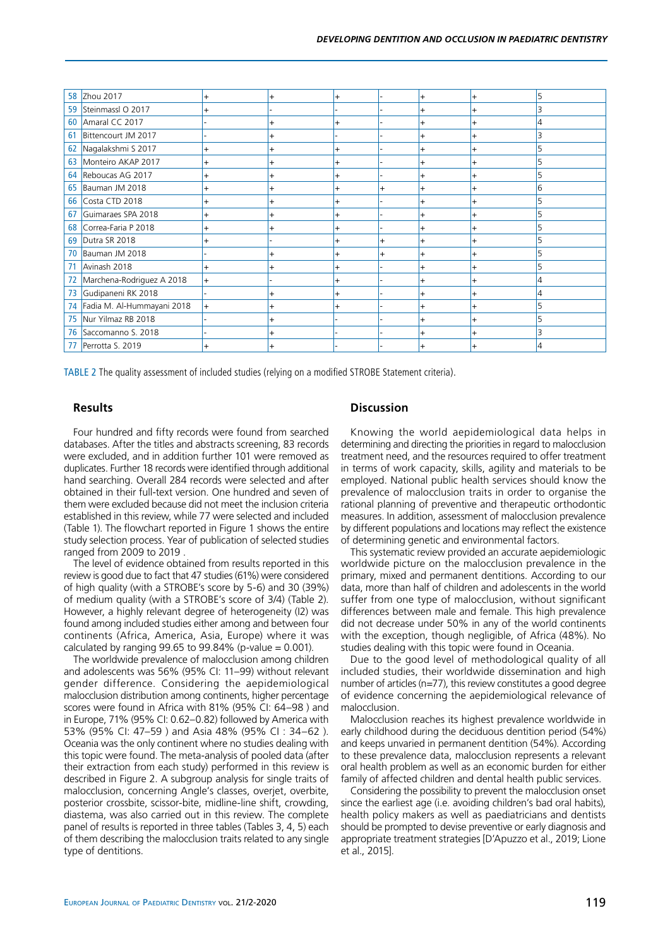| 58 | Zhou 2017                  | $\ddot{}$ | $\ddot{}$ | $\ddot{}$ |                | $+$       | $+$       | 5              |
|----|----------------------------|-----------|-----------|-----------|----------------|-----------|-----------|----------------|
|    | 59 Steinmassl O 2017       | $\ddot{}$ |           |           |                | $+$       | $\ddot{}$ | 3              |
| 60 | Amaral CC 2017             |           | $+$       | $\ddot{}$ |                | $\ddot{}$ | $\ddot{}$ | $\overline{4}$ |
| 61 | Bittencourt JM 2017        |           |           |           |                | $\ddot{}$ | $\ddot{}$ | 3              |
| 62 | Nagalakshmi S 2017         | $\ddot{}$ |           | $\ddot{}$ |                | $+$       | $\ddot{}$ |                |
| 63 | Monteiro AKAP 2017         | $\ddot{}$ |           |           |                | $\ddot{}$ | $\ddot{}$ |                |
| 64 | Reboucas AG 2017           | $\ddot{}$ |           |           |                | $\ddot{}$ | $\ddot{}$ |                |
| 65 | Bauman JM 2018             | $\ddot{}$ | $^{+}$    | $\ddot{}$ | $\overline{+}$ | $+$       | $\ddot{}$ | 6              |
| 66 | Costa CTD 2018             | $\ddot{}$ | $+$       | $\ddot{}$ |                | $+$       | $+$       | 5              |
| 67 | Guimaraes SPA 2018         | $\ddot{}$ | $\ddot{}$ | $+$       |                | $\ddot{}$ | $\ddot{}$ | 5              |
| 68 | Correa-Faria P 2018        | $+$       |           |           |                | $+$       | $+$       | 5              |
| 69 | Dutra SR 2018              | $\ddot{}$ |           | $\ddot{}$ | $\ddot{}$      | $+$       | $\ddot{}$ |                |
| 70 | Bauman JM 2018             |           |           |           | $\overline{+}$ | $\ddot{}$ | $\ddot{}$ | 5              |
| 71 | Avinash 2018               | $\ddot{}$ | $\ddot{}$ | $+$       |                | $+$       | $\ddot{}$ | 5              |
| 72 | Marchena-Rodriguez A 2018  | $+$       |           | $\ddot{}$ |                | $+$       | $\ddot{}$ | 4              |
| 73 | Gudipaneni RK 2018         |           | $\ddot{}$ | $+$       |                | $\ddot{}$ | $\ddot{}$ | 4              |
| 74 | Fadia M. Al-Hummayani 2018 | $+$       | $\ddot{}$ | $+$       |                | $+$       | $+$       | 5              |
| 75 | Nur Yilmaz RB 2018         |           |           |           |                | $+$       | $\ddot{}$ |                |
| 76 | Saccomanno S. 2018         |           |           |           |                |           |           |                |
| 77 | Perrotta S. 2019           |           |           |           |                |           |           | 4              |
|    |                            |           |           |           |                |           |           |                |

Table 2 The quality assessment of included studies (relying on a modified STROBE Statement criteria).

## **Results**

Four hundred and fifty records were found from searched databases. After the titles and abstracts screening, 83 records were excluded, and in addition further 101 were removed as duplicates. Further 18 records were identified through additional hand searching. Overall 284 records were selected and after obtained in their full-text version. One hundred and seven of them were excluded because did not meet the inclusion criteria established in this review, while 77 were selected and included (Table 1). The flowchart reported in Figure 1 shows the entire study selection process. Year of publication of selected studies ranged from 2009 to 2019 .

The level of evidence obtained from results reported in this review is good due to fact that 47 studies (61%) were considered of high quality (with a STROBE's score by 5-6) and 30 (39%) of medium quality (with a STROBE's score of 3/4) (Table 2). However, a highly relevant degree of heterogeneity (I2) was found among included studies either among and between four continents (Africa, America, Asia, Europe) where it was calculated by ranging 99.65 to 99.84% (p-value =  $0.001$ ).

The worldwide prevalence of malocclusion among children and adolescents was 56% (95% CI: 11–99) without relevant gender difference. Considering the aepidemiological malocclusion distribution among continents, higher percentage scores were found in Africa with 81% (95% CI: 64–98 ) and in Europe, 71% (95% CI: 0.62–0.82) followed by America with 53% (95% CI: 47–59 ) and Asia 48% (95% CI : 34–62 ). Oceania was the only continent where no studies dealing with this topic were found. The meta-analysis of pooled data (after their extraction from each study) performed in this review is described in Figure 2. A subgroup analysis for single traits of malocclusion, concerning Angle's classes, overjet, overbite, posterior crossbite, scissor-bite, midline-line shift, crowding, diastema, was also carried out in this review. The complete panel of results is reported in three tables (Tables 3, 4, 5) each of them describing the malocclusion traits related to any single type of dentitions.

## **Discussion**

Knowing the world aepidemiological data helps in determining and directing the priorities in regard to malocclusion treatment need, and the resources required to offer treatment in terms of work capacity, skills, agility and materials to be employed. National public health services should know the prevalence of malocclusion traits in order to organise the rational planning of preventive and therapeutic orthodontic measures. In addition, assessment of malocclusion prevalence by different populations and locations may reflect the existence of determining genetic and environmental factors.

This systematic review provided an accurate aepidemiologic worldwide picture on the malocclusion prevalence in the primary, mixed and permanent dentitions. According to our data, more than half of children and adolescents in the world suffer from one type of malocclusion, without significant differences between male and female. This high prevalence did not decrease under 50% in any of the world continents with the exception, though negligible, of Africa (48%). No studies dealing with this topic were found in Oceania.

Due to the good level of methodological quality of all included studies, their worldwide dissemination and high number of articles (n=77), this review constitutes a good degree of evidence concerning the aepidemiological relevance of malocclusion.

Malocclusion reaches its highest prevalence worldwide in early childhood during the deciduous dentition period (54%) and keeps unvaried in permanent dentition (54%). According to these prevalence data, malocclusion represents a relevant oral health problem as well as an economic burden for either family of affected children and dental health public services.

Considering the possibility to prevent the malocclusion onset since the earliest age (i.e. avoiding children's bad oral habits), health policy makers as well as paediatricians and dentists should be prompted to devise preventive or early diagnosis and appropriate treatment strategies [D'Apuzzo et al., 2019; Lione et al., 2015].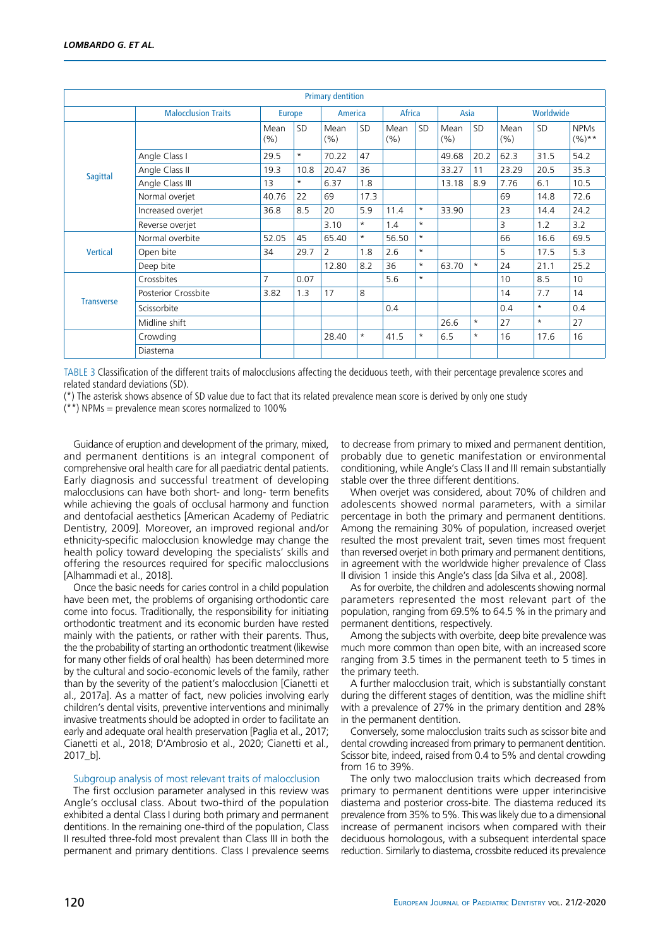| <b>Primary dentition</b> |                            |                |           |             |           |             |         |               |           |             |           |                        |
|--------------------------|----------------------------|----------------|-----------|-------------|-----------|-------------|---------|---------------|-----------|-------------|-----------|------------------------|
|                          | <b>Malocclusion Traits</b> | <b>Europe</b>  |           | America     |           | Africa      |         | Asia          |           | Worldwide   |           |                        |
|                          |                            | Mean<br>(%)    | <b>SD</b> | Mean<br>(%) | <b>SD</b> | Mean<br>(%) | SD      | Mean<br>(9/0) | <b>SD</b> | Mean<br>(%) | <b>SD</b> | <b>NPMs</b><br>$(%)**$ |
|                          | Angle Class I              | 29.5           | $^\star$  | 70.22       | 47        |             |         | 49.68         | 20.2      | 62.3        | 31.5      | 54.2                   |
| Sagittal                 | Angle Class II             | 19.3           | 10.8      | 20.47       | 36        |             |         | 33.27         | 11        | 23.29       | 20.5      | 35.3                   |
|                          | Angle Class III            | 13             | $\star$   | 6.37        | 1.8       |             |         | 13.18         | 8.9       | 7.76        | 6.1       | 10.5                   |
|                          | Normal overjet             | 40.76          | 22        | 69          | 17.3      |             |         |               |           | 69          | 14.8      | 72.6                   |
|                          | Increased overjet          | 36.8           | 8.5       | 20          | 5.9       | 11.4        | $\star$ | 33.90         |           | 23          | 14.4      | 24.2                   |
|                          | Reverse overjet            |                |           | 3.10        | $\star$   | 1.4         | $\star$ |               |           | 3           | 1.2       | 3.2                    |
|                          | Normal overbite            | 52.05          | 45        | 65.40       | $\star$   | 56.50       | $\star$ |               |           | 66          | 16.6      | 69.5                   |
| <b>Vertical</b>          | Open bite                  | 34             | 29.7      | 2           | 1.8       | 2.6         | $\star$ |               |           | 5           | 17.5      | 5.3                    |
|                          | Deep bite                  |                |           | 12.80       | 8.2       | 36          | $\star$ | 63.70         | $\star$   | 24          | 21.1      | 25.2                   |
|                          | Crossbites                 | $\overline{7}$ | 0.07      |             |           | 5.6         | $\star$ |               |           | 10          | 8.5       | 10 <sup>1</sup>        |
|                          | <b>Posterior Crossbite</b> | 3.82           | 1.3       | 17          | 8         |             |         |               |           | 14          | 7.7       | 14                     |
| <b>Transverse</b>        | Scissorbite                |                |           |             |           | 0.4         |         |               |           | 0.4         | $^\star$  | 0.4                    |
|                          | Midline shift              |                |           |             |           |             |         | 26.6          | $^\star$  | 27          | $\star$   | 27                     |
|                          | Crowding                   |                |           | 28.40       | $\star$   | 41.5        | $\star$ | 6.5           | $\star$   | 16          | 17.6      | 16                     |
|                          | Diastema                   |                |           |             |           |             |         |               |           |             |           |                        |

Table 3 Classification of the different traits of malocclusions affecting the deciduous teeth, with their percentage prevalence scores and related standard deviations (SD).

(\*) The asterisk shows absence of SD value due to fact that its related prevalence mean score is derived by only one study

 $*$ ) NPMs = prevalence mean scores normalized to 100%

Guidance of eruption and development of the primary, mixed, and permanent dentitions is an integral component of comprehensive oral health care for all paediatric dental patients. Early diagnosis and successful treatment of developing malocclusions can have both short- and long- term benefits while achieving the goals of occlusal harmony and function and dentofacial aesthetics [American Academy of Pediatric Dentistry, 2009]. Moreover, an improved regional and/or ethnicity-specific malocclusion knowledge may change the health policy toward developing the specialists' skills and offering the resources required for specific malocclusions [Alhammadi et al., 2018].

Once the basic needs for caries control in a child population have been met, the problems of organising orthodontic care come into focus. Traditionally, the responsibility for initiating orthodontic treatment and its economic burden have rested mainly with the patients, or rather with their parents. Thus, the the probability of starting an orthodontic treatment (likewise for many other fields of oral health) has been determined more by the cultural and socio-economic levels of the family, rather than by the severity of the patient's malocclusion [Cianetti et al., 2017a]. As a matter of fact, new policies involving early children's dental visits, preventive interventions and minimally invasive treatments should be adopted in order to facilitate an early and adequate oral health preservation [Paglia et al., 2017; Cianetti et al., 2018; D'Ambrosio et al., 2020; Cianetti et al., 2017\_b].

#### Subgroup analysis of most relevant traits of malocclusion

The first occlusion parameter analysed in this review was Angle's occlusal class. About two-third of the population exhibited a dental Class I during both primary and permanent dentitions. In the remaining one-third of the population, Class II resulted three-fold most prevalent than Class III in both the permanent and primary dentitions. Class I prevalence seems

to decrease from primary to mixed and permanent dentition, probably due to genetic manifestation or environmental conditioning, while Angle's Class II and III remain substantially stable over the three different dentitions.

When overjet was considered, about 70% of children and adolescents showed normal parameters, with a similar percentage in both the primary and permanent dentitions. Among the remaining 30% of population, increased overjet resulted the most prevalent trait, seven times most frequent than reversed overjet in both primary and permanent dentitions, in agreement with the worldwide higher prevalence of Class II division 1 inside this Angle's class [da Silva et al., 2008].

As for overbite, the children and adolescents showing normal parameters represented the most relevant part of the population, ranging from 69.5% to 64.5 % in the primary and permanent dentitions, respectively.

Among the subjects with overbite, deep bite prevalence was much more common than open bite, with an increased score ranging from 3.5 times in the permanent teeth to 5 times in the primary teeth.

A further malocclusion trait, which is substantially constant during the different stages of dentition, was the midline shift with a prevalence of 27% in the primary dentition and 28% in the permanent dentition.

Conversely, some malocclusion traits such as scissor bite and dental crowding increased from primary to permanent dentition. Scissor bite, indeed, raised from 0.4 to 5% and dental crowding from 16 to 39%.

The only two malocclusion traits which decreased from primary to permanent dentitions were upper interincisive diastema and posterior cross-bite. The diastema reduced its prevalence from 35% to 5%. This was likely due to a dimensional increase of permanent incisors when compared with their deciduous homologous, with a subsequent interdental space reduction. Similarly to diastema, crossbite reduced its prevalence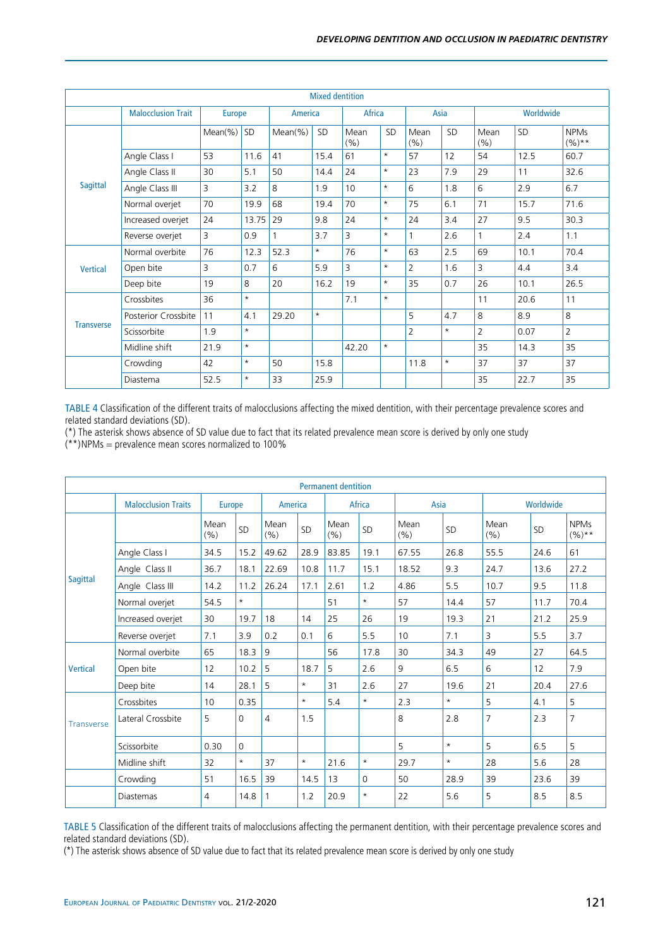| <b>Mixed dentition</b> |                           |               |          |            |           |             |           |                |           |                |           |                        |
|------------------------|---------------------------|---------------|----------|------------|-----------|-------------|-----------|----------------|-----------|----------------|-----------|------------------------|
|                        | <b>Malocclusion Trait</b> | <b>Europe</b> |          | America    |           | Africa      |           |                | Asia      |                | Worldwide |                        |
|                        |                           | $Mean(\%)$    | SD       | $Mean(\%)$ | <b>SD</b> | Mean<br>(%) | <b>SD</b> | Mean<br>(%)    | <b>SD</b> | Mean<br>(%)    | <b>SD</b> | <b>NPMs</b><br>$(%)**$ |
|                        | Angle Class I             | 53            | 11.6     | 41         | 15.4      | 61          | $^\star$  | 57             | 12        | 54             | 12.5      | 60.7                   |
|                        | Angle Class II            | 30            | 5.1      | 50         | 14.4      | 24          | $\star$   | 23             | 7.9       | 29             | 11        | 32.6                   |
| <b>Sagittal</b>        | Angle Class III           | 3             | 3.2      | 8          | 1.9       | 10          | $\star$   | 6              | 1.8       | 6              | 2.9       | 6.7                    |
|                        | Normal overjet            | 70            | 19.9     | 68         | 19.4      | 70          | $\star$   | 75             | 6.1       | 71             | 15.7      | 71.6                   |
|                        | Increased overjet         | 24            | 13.75    | 29         | 9.8       | 24          | $\star$   | 24             | 3.4       | 27             | 9.5       | 30.3                   |
|                        | Reverse overjet           | 3             | 0.9      |            | 3.7       | 3           | $\star$   |                | 2.6       |                | 2.4       | 1.1                    |
|                        | Normal overbite           | 76            | 12.3     | 52.3       | $\star$   | 76          | $\star$   | 63             | 2.5       | 69             | 10.1      | 70.4                   |
| <b>Vertical</b>        | Open bite                 | 3             | 0.7      | 6          | 5.9       | 3           | $\star$   | $\overline{2}$ | 1.6       | 3              | 4.4       | 3.4                    |
|                        | Deep bite                 | 19            | 8        | 20         | 16.2      | 19          | $\star$   | 35             | 0.7       | 26             | 10.1      | 26.5                   |
|                        | Crossbites                | 36            | $\star$  |            |           | 7.1         | $\star$   |                |           | 11             | 20.6      | 11                     |
|                        | Posterior Crossbite       | 11            | 4.1      | 29.20      | $\star$   |             |           | 5              | 4.7       | 8              | 8.9       | 8                      |
| <b>Transverse</b>      | Scissorbite               | 1.9           | $\star$  |            |           |             |           | $\overline{2}$ | $\star$   | $\overline{2}$ | 0.07      | $\overline{2}$         |
|                        | Midline shift             | 21.9          | $\star$  |            |           | 42.20       | $\star$   |                |           | 35             | 14.3      | 35                     |
|                        | Crowding                  | 42            | $\star$  | 50         | 15.8      |             |           | 11.8           | $\star$   | 37             | 37        | 37                     |
|                        | Diastema                  | 52.5          | $^\star$ | 33         | 25.9      |             |           |                |           | 35             | 22.7      | 35                     |

Table 4 Classification of the different traits of malocclusions affecting the mixed dentition, with their percentage prevalence scores and related standard deviations (SD).

(\*) The asterisk shows absence of SD value due to fact that its related prevalence mean score is derived by only one study

 $(**)$ NPMs = prevalence mean scores normalized to 100%

| <b>Permanent dentition</b> |                            |               |             |                |            |              |           |              |           |                |      |                        |
|----------------------------|----------------------------|---------------|-------------|----------------|------------|--------------|-----------|--------------|-----------|----------------|------|------------------------|
|                            | <b>Malocclusion Traits</b> | <b>Europe</b> |             | America        |            | Africa       |           | Asia         |           | Worldwide      |      |                        |
|                            |                            | Mean<br>(%)   | SD          | Mean<br>(%)    | SD         | Mean<br>(% ) | <b>SD</b> | Mean<br>(% ) | <b>SD</b> | Mean<br>(% )   | SD   | <b>NPMs</b><br>$(%)**$ |
|                            | Angle Class I              | 34.5          | 15.2        | 49.62          | 28.9       | 83.85        | 19.1      | 67.55        | 26.8      | 55.5           | 24.6 | 61                     |
|                            | Angle Class II             | 36.7          | 18.1        | 22.69          | 10.8       | 11.7         | 15.1      | 18.52        | 9.3       | 24.7           | 13.6 | 27.2                   |
| <b>Sagittal</b>            | Angle Class III            | 14.2          | 11.2        | 26.24          | 17.1       | 2.61         | 1.2       | 4.86         | 5.5       | 10.7           | 9.5  | 11.8                   |
|                            | Normal overjet             | 54.5          | $^{\star}$  |                |            | 51           | $\star$   | 57           | 14.4      | 57             | 11.7 | 70.4                   |
|                            | Increased overjet          | 30            | 19.7        | 18             | 14         | 25           | 26        | 19           | 19.3      | 21             | 21.2 | 25.9                   |
|                            | Reverse overjet            | 7.1           | 3.9         | 0.2            | 0.1        | 6            | 5.5       | 10           | 7.1       | 3              | 5.5  | 3.7                    |
|                            | Normal overbite            | 65            | 18.3        | 9              |            | 56           | 17.8      | 30           | 34.3      | 49             | 27   | 64.5                   |
| <b>Vertical</b>            | Open bite                  | 12            | 10.2        | 5              | 18.7       | 5            | 2.6       | 9            | 6.5       | 6              | 12   | 7.9                    |
|                            | Deep bite                  | 14            | 28.1        | 5              | $^{\star}$ | 31           | 2.6       | 27           | 19.6      | 21             | 20.4 | 27.6                   |
|                            | Crossbites                 | 10            | 0.35        |                | $\star$    | 5.4          | $^\star$  | 2.3          | $\star$   | 5              | 4.1  | 5                      |
| <b>Transverse</b>          | Lateral Crossbite          | 5             | $\Omega$    | $\overline{4}$ | 1.5        |              |           | 8            | 2.8       | $\overline{7}$ | 2.3  | $\overline{7}$         |
|                            | Scissorbite                | 0.30          | $\mathbf 0$ |                |            |              |           | 5            | $\star$   | 5              | 6.5  | 5                      |
|                            | Midline shift              | 32            | $\star$     | 37             | *          | 21.6         | $\star$   | 29.7         | $\star$   | 28             | 5.6  | 28                     |
|                            | Crowding                   | 51            | 16.5        | 39             | 14.5       | 13           | 0         | 50           | 28.9      | 39             | 23.6 | 39                     |
|                            | Diastemas                  | 4             | 14.8        | 1              | 1.2        | 20.9         | $^\star$  | 22           | 5.6       | 5              | 8.5  | 8.5                    |

Table 5 Classification of the different traits of malocclusions affecting the permanent dentition, with their percentage prevalence scores and related standard deviations (SD).

(\*) The asterisk shows absence of SD value due to fact that its related prevalence mean score is derived by only one study